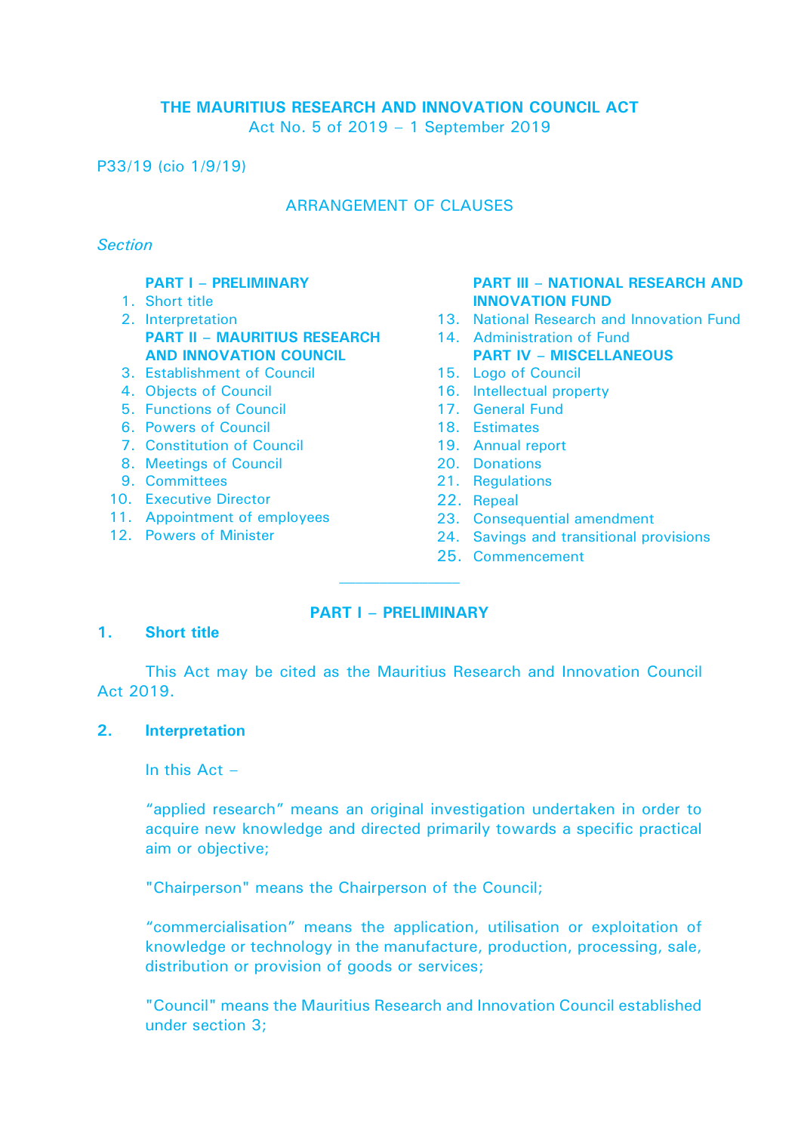## **THE MAURITIUS RESEARCH AND INNOVATION COUNCIL ACT** Act No. 5 of 2019 – 1 September 2019

P33/19 (cio 1/9/19)

# ARRANGEMENT OF CLAUSES

### *Section*

## **PART I – PRELIMINARY**

- 1. Short title
- 2. Interpretation **PART II – MAURITIUS RESEARCH AND INNOVATION COUNCIL**
- 3. Establishment of Council
- 4. Objects of Council
- 5. Functions of Council
- 6. Powers of Council
- 7. Constitution of Council
- 8. Meetings of Council
- 9. Committees
- 10. Executive Director
- 11. Appointment of employees
- 12. Powers of Minister

#### **PART III – NATIONAL RESEARCH AND INNOVATION FUND**

- 13. National Research and Innovation Fund
- 14. Administration of Fund **PART IV – MISCELLANEOUS**
- 15. Logo of Council
- 16. Intellectual property
- 17. General Fund
- 18. Estimates
- 19. Annual report
- 20. Donations
- 21. Regulations
- 22. Repeal
- 23. Consequential amendment
- 24. Savings and transitional provisions
- 25. Commencement

# **PART I – PRELIMINARY**

### **1. Short title**

This Act may be cited as the Mauritius Research and Innovation Council Act 2019.

### **2. Interpretation**

In this  $Act -$ 

"applied research" means an original investigation undertaken in order to acquire new knowledge and directed primarily towards a specific practical aim or objective;

"Chairperson" means the Chairperson of the Council;

"commercialisation" means the application, utilisation or exploitation of knowledge or technology in the manufacture, production, processing, sale, distribution or provision of goods or services;

"Council" means the Mauritius Research and Innovation Council established under section 3;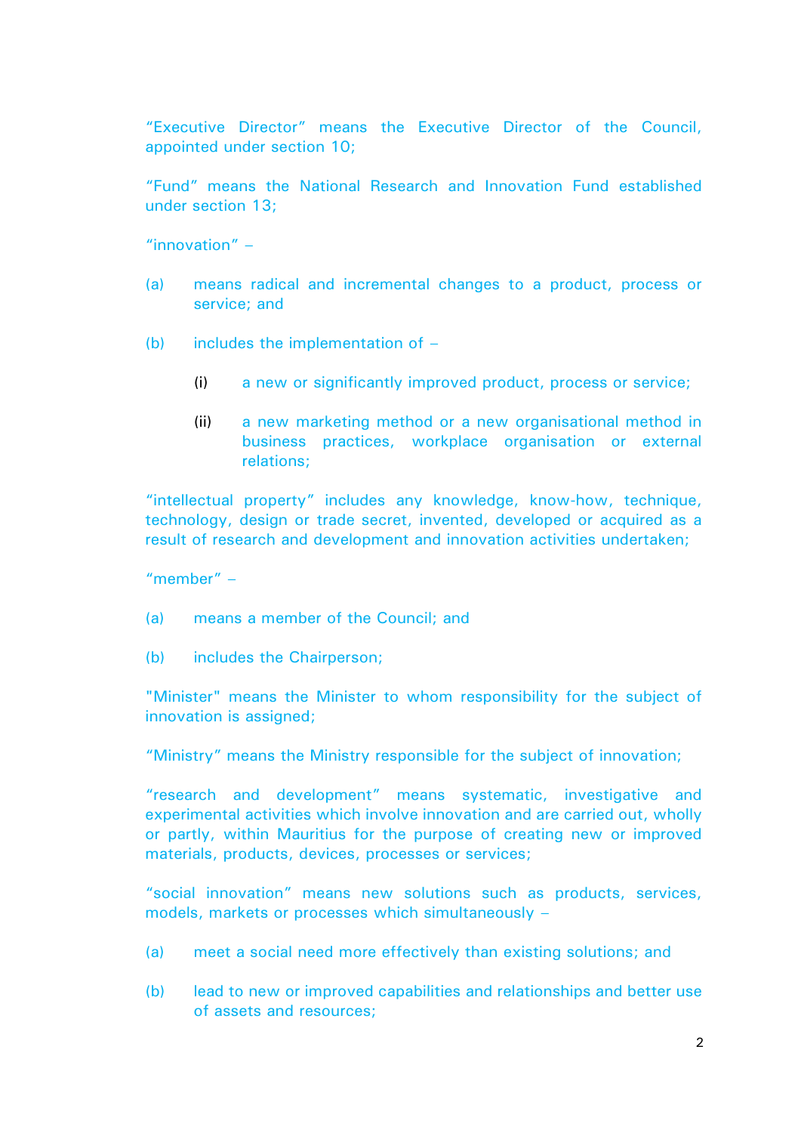"Executive Director" means the Executive Director of the Council, appointed under section 10;

"Fund" means the National Research and Innovation Fund established under section 13;

"innovation" –

- (a) means radical and incremental changes to a product, process or service; and
- (b) includes the implementation of  $-$ 
	- (i) a new or significantly improved product, process or service;
	- (ii) a new marketing method or a new organisational method in business practices, workplace organisation or external relations;

"intellectual property" includes any knowledge, know-how, technique, technology, design or trade secret, invented, developed or acquired as a result of research and development and innovation activities undertaken;

"member" –

- (a) means a member of the Council; and
- (b) includes the Chairperson;

"Minister" means the Minister to whom responsibility for the subject of innovation is assigned:

"Ministry" means the Ministry responsible for the subject of innovation;

"research and development" means systematic, investigative and experimental activities which involve innovation and are carried out, wholly or partly, within Mauritius for the purpose of creating new or improved materials, products, devices, processes or services;

"social innovation" means new solutions such as products, services, models, markets or processes which simultaneously –

- (a) meet a social need more effectively than existing solutions; and
- (b) lead to new or improved capabilities and relationships and better use of assets and resources;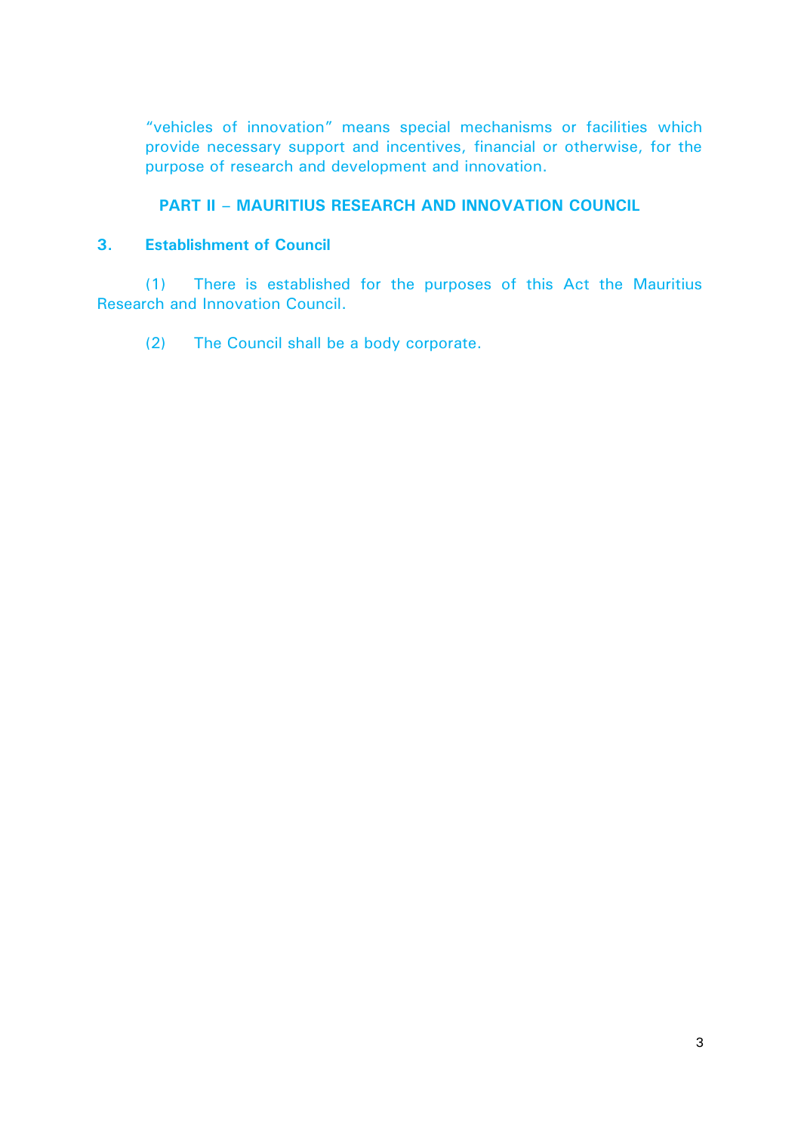"vehicles of innovation" means special mechanisms or facilities which provide necessary support and incentives, financial or otherwise, for the purpose of research and development and innovation.

# **PART II – MAURITIUS RESEARCH AND INNOVATION COUNCIL**

# **3. Establishment of Council**

(1) There is established for the purposes of this Act the Mauritius Research and Innovation Council.

(2) The Council shall be a body corporate.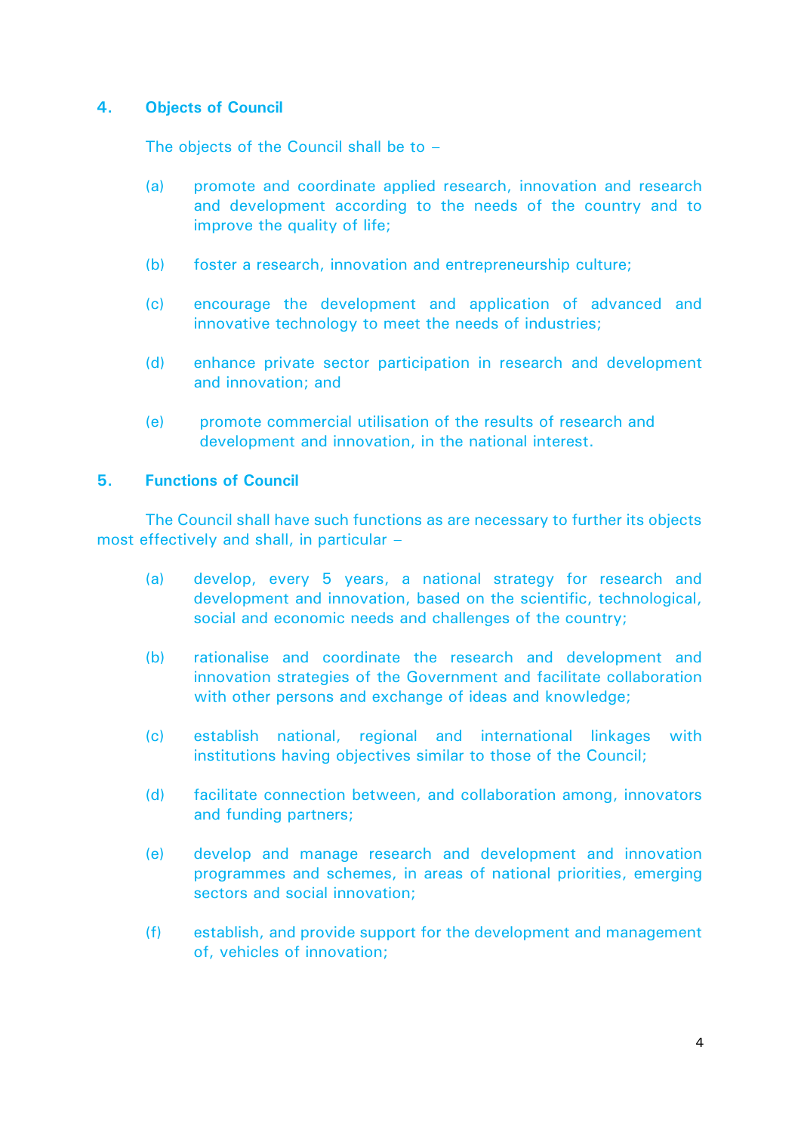# **4. Objects of Council**

The objects of the Council shall be to –

- (a) promote and coordinate applied research, innovation and research and development according to the needs of the country and to improve the quality of life;
- (b) foster a research, innovation and entrepreneurship culture;
- (c) encourage the development and application of advanced and innovative technology to meet the needs of industries;
- (d) enhance private sector participation in research and development and innovation; and
- (e) promote commercial utilisation of the results of research and development and innovation, in the national interest.

# **5. Functions of Council**

The Council shall have such functions as are necessary to further its objects most effectively and shall, in particular –

- (a) develop, every 5 years, a national strategy for research and development and innovation, based on the scientific, technological, social and economic needs and challenges of the country;
- (b) rationalise and coordinate the research and development and innovation strategies of the Government and facilitate collaboration with other persons and exchange of ideas and knowledge;
- (c) establish national, regional and international linkages with institutions having objectives similar to those of the Council;
- (d) facilitate connection between, and collaboration among, innovators and funding partners;
- (e) develop and manage research and development and innovation programmes and schemes, in areas of national priorities, emerging sectors and social innovation;
- (f) establish, and provide support for the development and management of, vehicles of innovation;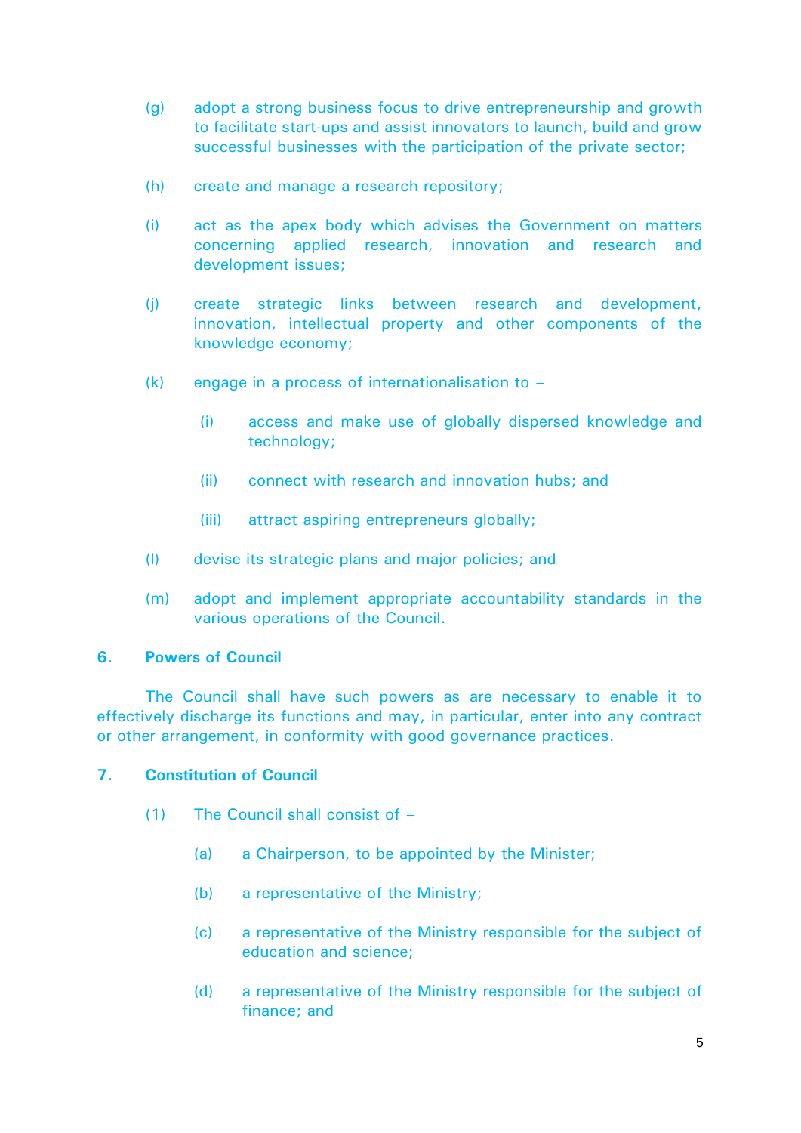- (g) adopt a strong business focus to drive entrepreneurship and growth to facilitate start-ups and assist innovators to launch, build and grow successful businesses with the participation of the private sector;
- (h) create and manage a research repository;
- (i) act as the apex body which advises the Government on matters concerning applied research, innovation and research and development issues;
- (j) create strategic links between research and development, innovation, intellectual property and other components of the knowledge economy;
- $(k)$  engage in a process of internationalisation to  $-$ 
	- (i) access and make use of globally dispersed knowledge and technology;
	- (ii) connect with research and innovation hubs; and
	- (iii) attract aspiring entrepreneurs globally;
- (l) devise its strategic plans and major policies; and
- (m) adopt and implement appropriate accountability standards in the various operations of the Council.

### **6. Powers of Council**

The Council shall have such powers as are necessary to enable it to effectively discharge its functions and may, in particular, enter into any contract or other arrangement, in conformity with good governance practices.

# **7. Constitution of Council**

- (1) The Council shall consist of
	- (a) a Chairperson, to be appointed by the Minister;
	- (b) a representative of the Ministry;
	- (c) a representative of the Ministry responsible for the subject of education and science;
	- (d) a representative of the Ministry responsible for the subject of finance; and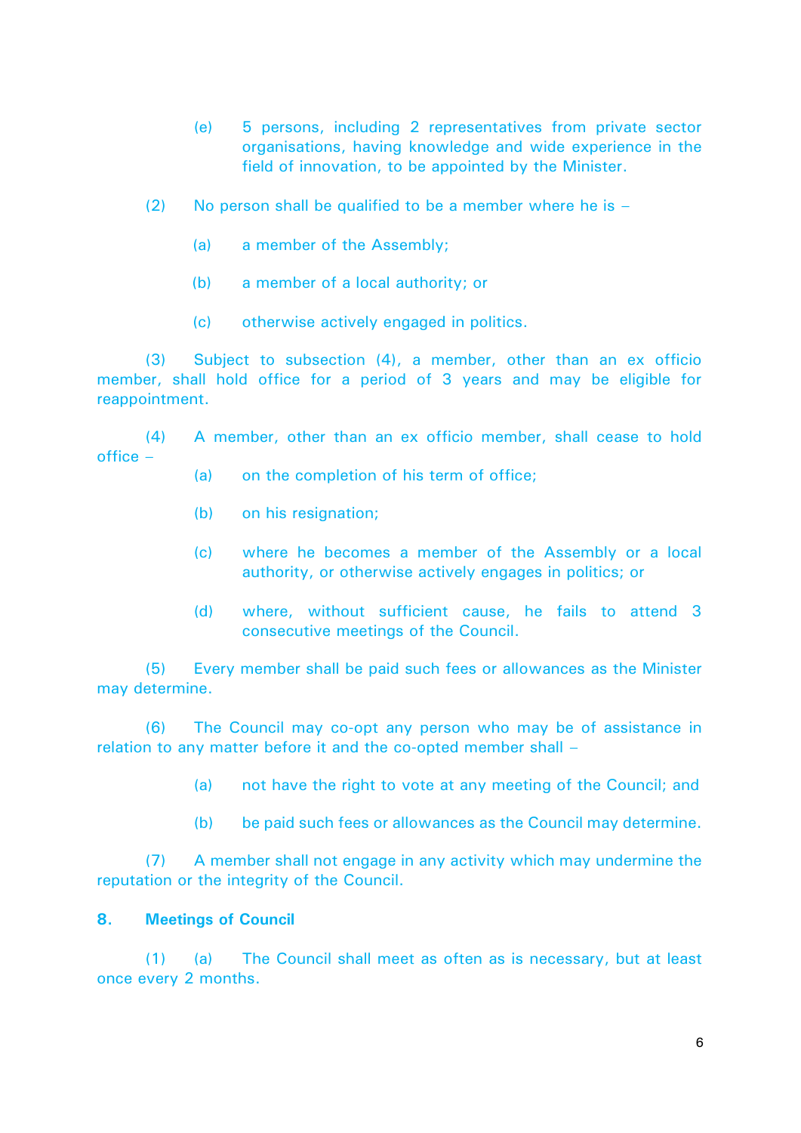- (e) 5 persons, including 2 representatives from private sector organisations, having knowledge and wide experience in the field of innovation, to be appointed by the Minister.
- (2) No person shall be qualified to be a member where he is  $-$ 
	- (a) a member of the Assembly;
	- (b) a member of a local authority; or
	- (c) otherwise actively engaged in politics.

(3) Subject to subsection (4), a member, other than an ex officio member, shall hold office for a period of 3 years and may be eligible for reappointment.

(4) A member, other than an ex officio member, shall cease to hold office –

- (a) on the completion of his term of office;
- (b) on his resignation;
- (c) where he becomes a member of the Assembly or a local authority, or otherwise actively engages in politics; or
- (d) where, without sufficient cause, he fails to attend 3 consecutive meetings of the Council.

(5) Every member shall be paid such fees or allowances as the Minister may determine.

(6) The Council may co-opt any person who may be of assistance in relation to any matter before it and the co-opted member shall –

(a) not have the right to vote at any meeting of the Council; and

(b) be paid such fees or allowances as the Council may determine.

(7) A member shall not engage in any activity which may undermine the reputation or the integrity of the Council.

### **8. Meetings of Council**

(1) (a) The Council shall meet as often as is necessary, but at least once every 2 months.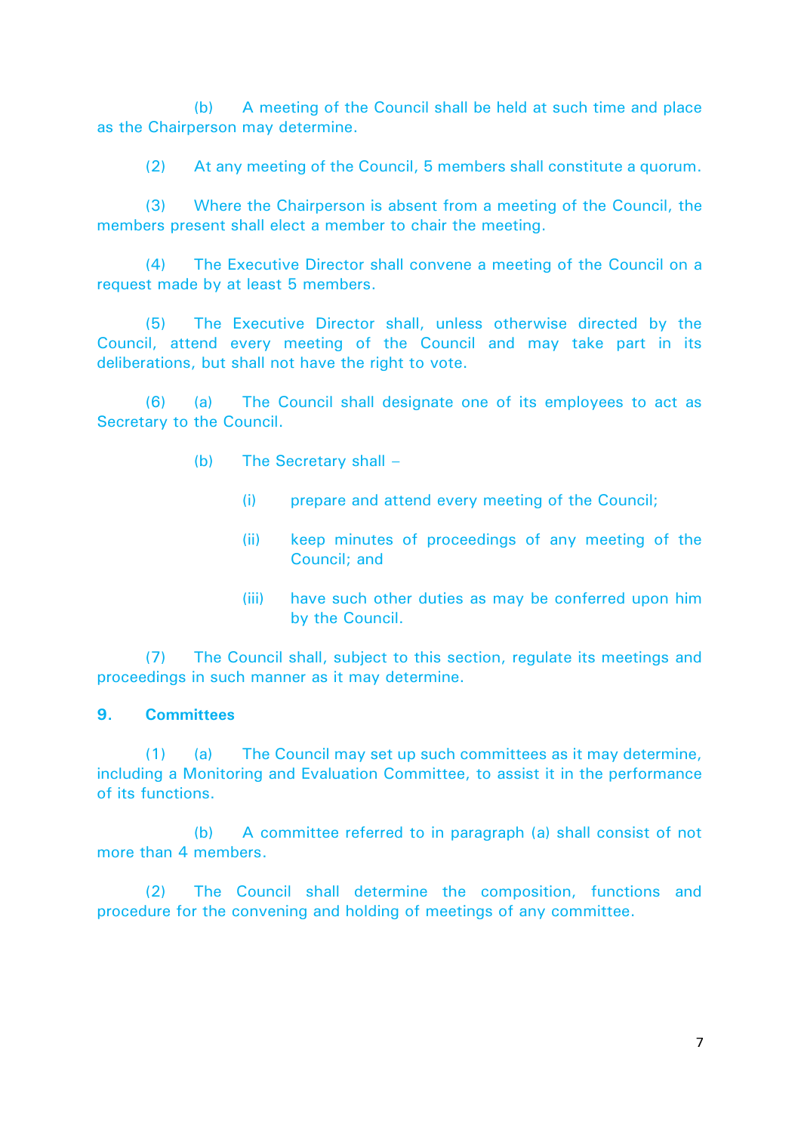(b) A meeting of the Council shall be held at such time and place as the Chairperson may determine.

(2) At any meeting of the Council, 5 members shall constitute a quorum.

(3) Where the Chairperson is absent from a meeting of the Council, the members present shall elect a member to chair the meeting.

(4) The Executive Director shall convene a meeting of the Council on a request made by at least 5 members.

(5) The Executive Director shall, unless otherwise directed by the Council, attend every meeting of the Council and may take part in its deliberations, but shall not have the right to vote.

(6) (a) The Council shall designate one of its employees to act as Secretary to the Council.

- (b) The Secretary shall
	- (i) prepare and attend every meeting of the Council;
	- (ii) keep minutes of proceedings of any meeting of the Council; and
	- (iii) have such other duties as may be conferred upon him by the Council.

(7) The Council shall, subject to this section, regulate its meetings and proceedings in such manner as it may determine.

### **9. Committees**

(1) (a) The Council may set up such committees as it may determine, including a Monitoring and Evaluation Committee, to assist it in the performance of its functions.

(b) A committee referred to in paragraph (a) shall consist of not more than 4 members.

(2) The Council shall determine the composition, functions and procedure for the convening and holding of meetings of any committee.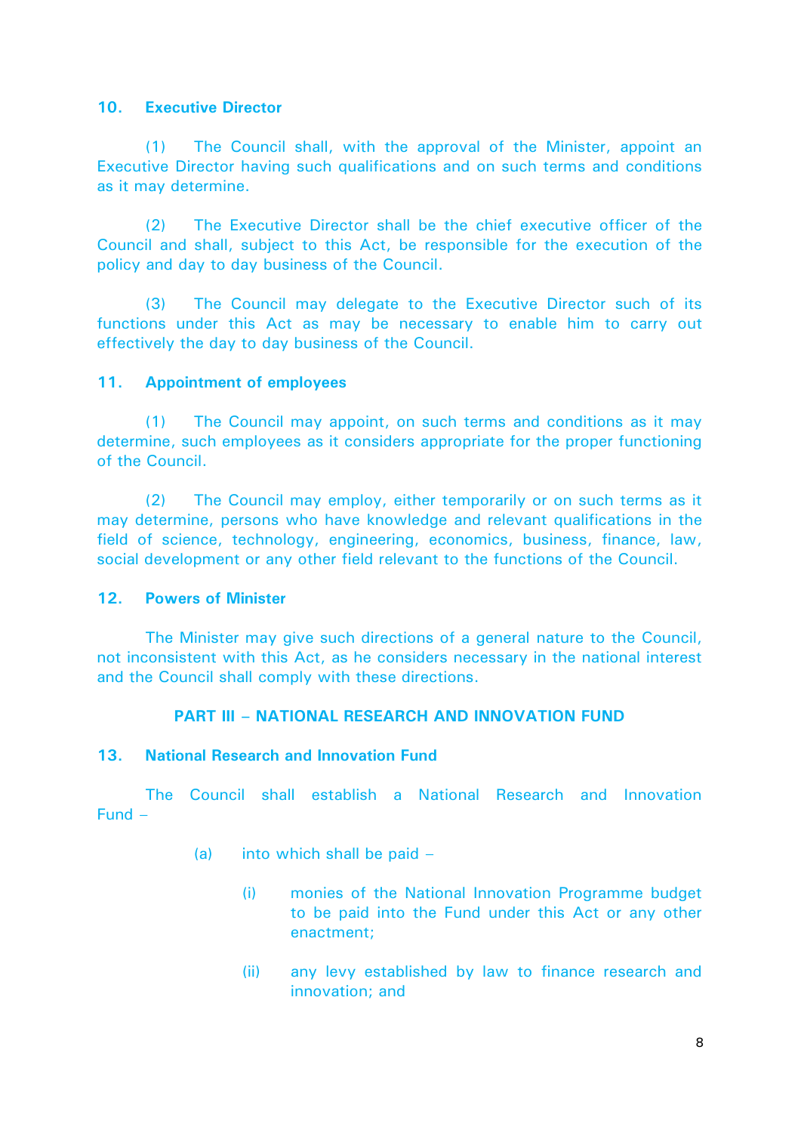## **10. Executive Director**

(1) The Council shall, with the approval of the Minister, appoint an Executive Director having such qualifications and on such terms and conditions as it may determine.

(2) The Executive Director shall be the chief executive officer of the Council and shall, subject to this Act, be responsible for the execution of the policy and day to day business of the Council.

(3) The Council may delegate to the Executive Director such of its functions under this Act as may be necessary to enable him to carry out effectively the day to day business of the Council.

## **11. Appointment of employees**

(1) The Council may appoint, on such terms and conditions as it may determine, such employees as it considers appropriate for the proper functioning of the Council.

(2) The Council may employ, either temporarily or on such terms as it may determine, persons who have knowledge and relevant qualifications in the field of science, technology, engineering, economics, business, finance, law, social development or any other field relevant to the functions of the Council.

### **12. Powers of Minister**

The Minister may give such directions of a general nature to the Council, not inconsistent with this Act, as he considers necessary in the national interest and the Council shall comply with these directions.

# **PART III – NATIONAL RESEARCH AND INNOVATION FUND**

### **13. National Research and Innovation Fund**

The Council shall establish a National Research and Innovation Fund –

- (a) into which shall be paid  $-$ 
	- (i) monies of the National Innovation Programme budget to be paid into the Fund under this Act or any other enactment;
	- (ii) any levy established by law to finance research and innovation; and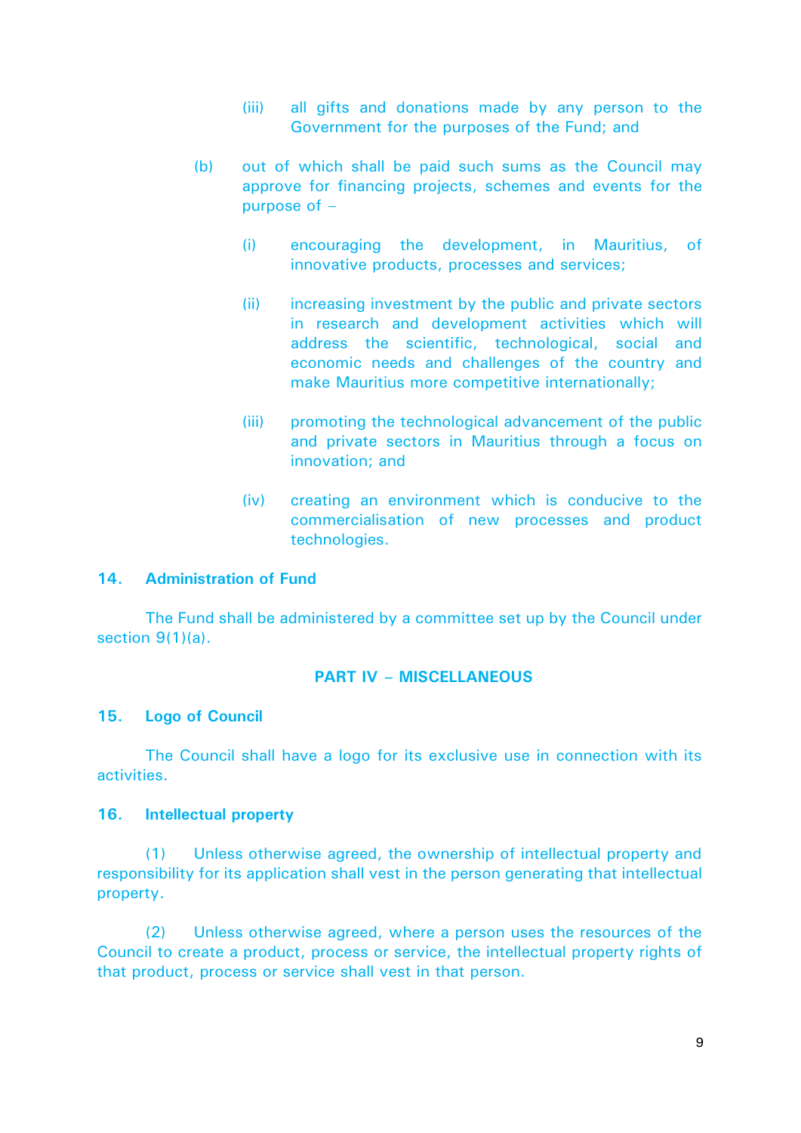- (iii) all gifts and donations made by any person to the Government for the purposes of the Fund; and
- (b) out of which shall be paid such sums as the Council may approve for financing projects, schemes and events for the purpose of  $-$ 
	- (i) encouraging the development, in Mauritius, of innovative products, processes and services;
	- (ii) increasing investment by the public and private sectors in research and development activities which will address the scientific, technological, social and economic needs and challenges of the country and make Mauritius more competitive internationally;
	- (iii) promoting the technological advancement of the public and private sectors in Mauritius through a focus on innovation; and
	- (iv) creating an environment which is conducive to the commercialisation of new processes and product technologies.

#### **14. Administration of Fund**

The Fund shall be administered by a committee set up by the Council under section 9(1)(a).

#### **PART IV – MISCELLANEOUS**

#### **15. Logo of Council**

The Council shall have a logo for its exclusive use in connection with its activities.

#### **16. Intellectual property**

(1) Unless otherwise agreed, the ownership of intellectual property and responsibility for its application shall vest in the person generating that intellectual property.

(2) Unless otherwise agreed, where a person uses the resources of the Council to create a product, process or service, the intellectual property rights of that product, process or service shall vest in that person.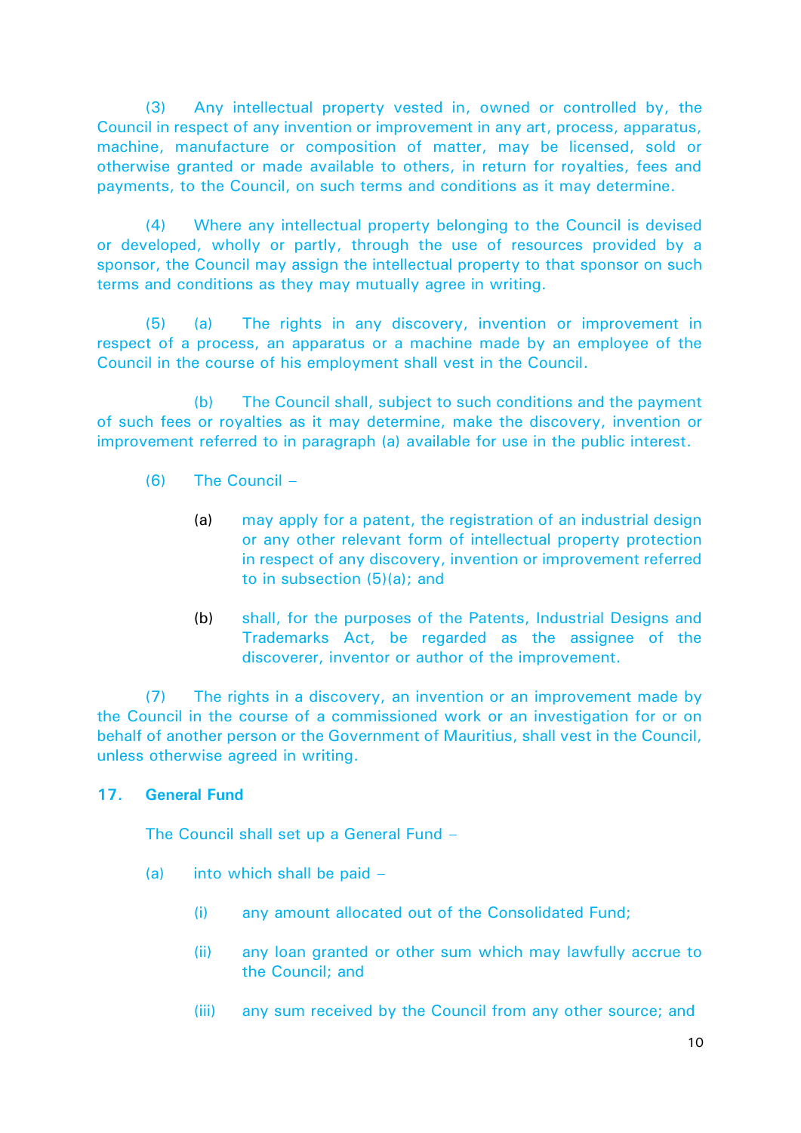(3) Any intellectual property vested in, owned or controlled by, the Council in respect of any invention or improvement in any art, process, apparatus, machine, manufacture or composition of matter, may be licensed, sold or otherwise granted or made available to others, in return for royalties, fees and payments, to the Council, on such terms and conditions as it may determine.

(4) Where any intellectual property belonging to the Council is devised or developed, wholly or partly, through the use of resources provided by a sponsor, the Council may assign the intellectual property to that sponsor on such terms and conditions as they may mutually agree in writing.

(5) (a) The rights in any discovery, invention or improvement in respect of a process, an apparatus or a machine made by an employee of the Council in the course of his employment shall vest in the Council.

(b) The Council shall, subject to such conditions and the payment of such fees or royalties as it may determine, make the discovery, invention or improvement referred to in paragraph (a) available for use in the public interest.

- (6) The Council
	- (a) may apply for a patent, the registration of an industrial design or any other relevant form of intellectual property protection in respect of any discovery, invention or improvement referred to in subsection (5)(a); and
	- (b) shall, for the purposes of the Patents, Industrial Designs and Trademarks Act, be regarded as the assignee of the discoverer, inventor or author of the improvement.

(7) The rights in a discovery, an invention or an improvement made by the Council in the course of a commissioned work or an investigation for or on behalf of another person or the Government of Mauritius, shall vest in the Council, unless otherwise agreed in writing.

### **17. General Fund**

The Council shall set up a General Fund –

- (a) into which shall be paid
	- (i) any amount allocated out of the Consolidated Fund;
	- (ii) any loan granted or other sum which may lawfully accrue to the Council; and
	- (iii) any sum received by the Council from any other source; and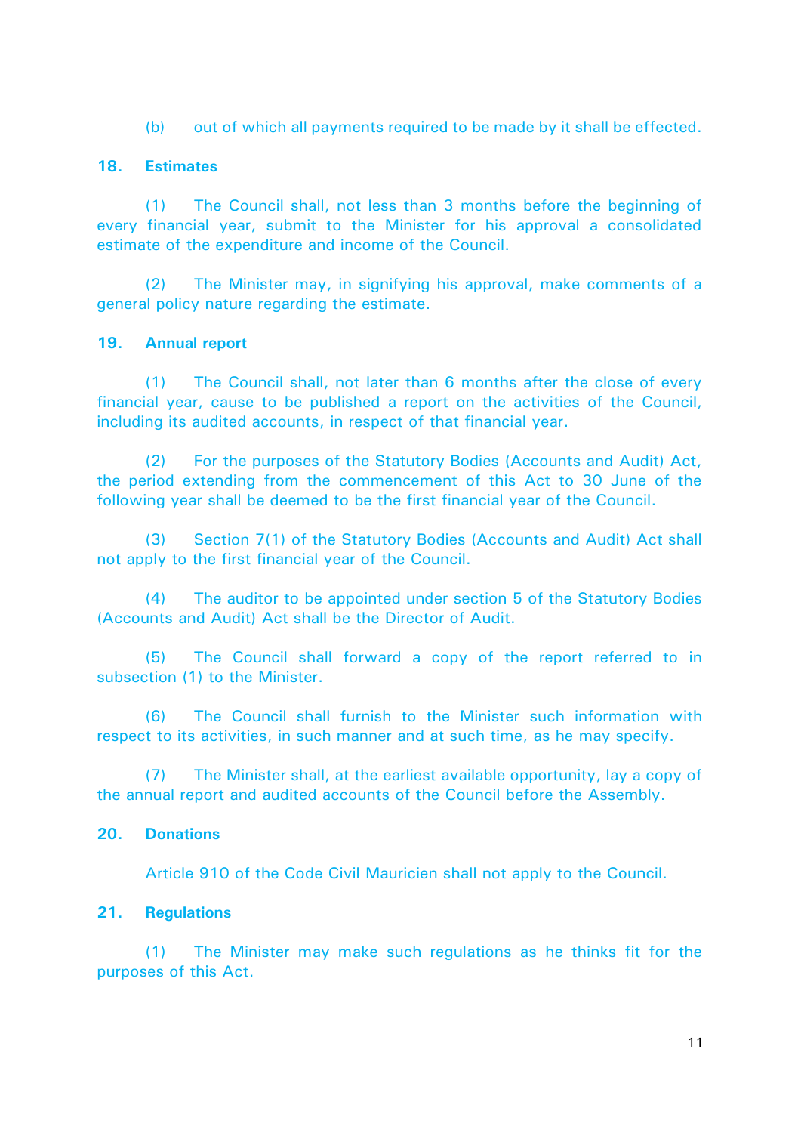(b) out of which all payments required to be made by it shall be effected.

## **18. Estimates**

(1) The Council shall, not less than 3 months before the beginning of every financial year, submit to the Minister for his approval a consolidated estimate of the expenditure and income of the Council.

(2) The Minister may, in signifying his approval, make comments of a general policy nature regarding the estimate.

### **19. Annual report**

(1) The Council shall, not later than 6 months after the close of every financial year, cause to be published a report on the activities of the Council, including its audited accounts, in respect of that financial year.

(2) For the purposes of the Statutory Bodies (Accounts and Audit) Act, the period extending from the commencement of this Act to 30 June of the following year shall be deemed to be the first financial year of the Council.

(3) Section 7(1) of the Statutory Bodies (Accounts and Audit) Act shall not apply to the first financial year of the Council.

(4) The auditor to be appointed under section 5 of the Statutory Bodies (Accounts and Audit) Act shall be the Director of Audit.

(5) The Council shall forward a copy of the report referred to in subsection (1) to the Minister.

(6) The Council shall furnish to the Minister such information with respect to its activities, in such manner and at such time, as he may specify.

(7) The Minister shall, at the earliest available opportunity, lay a copy of the annual report and audited accounts of the Council before the Assembly.

### **20. Donations**

Article 910 of the Code Civil Mauricien shall not apply to the Council.

### **21. Regulations**

(1) The Minister may make such regulations as he thinks fit for the purposes of this Act.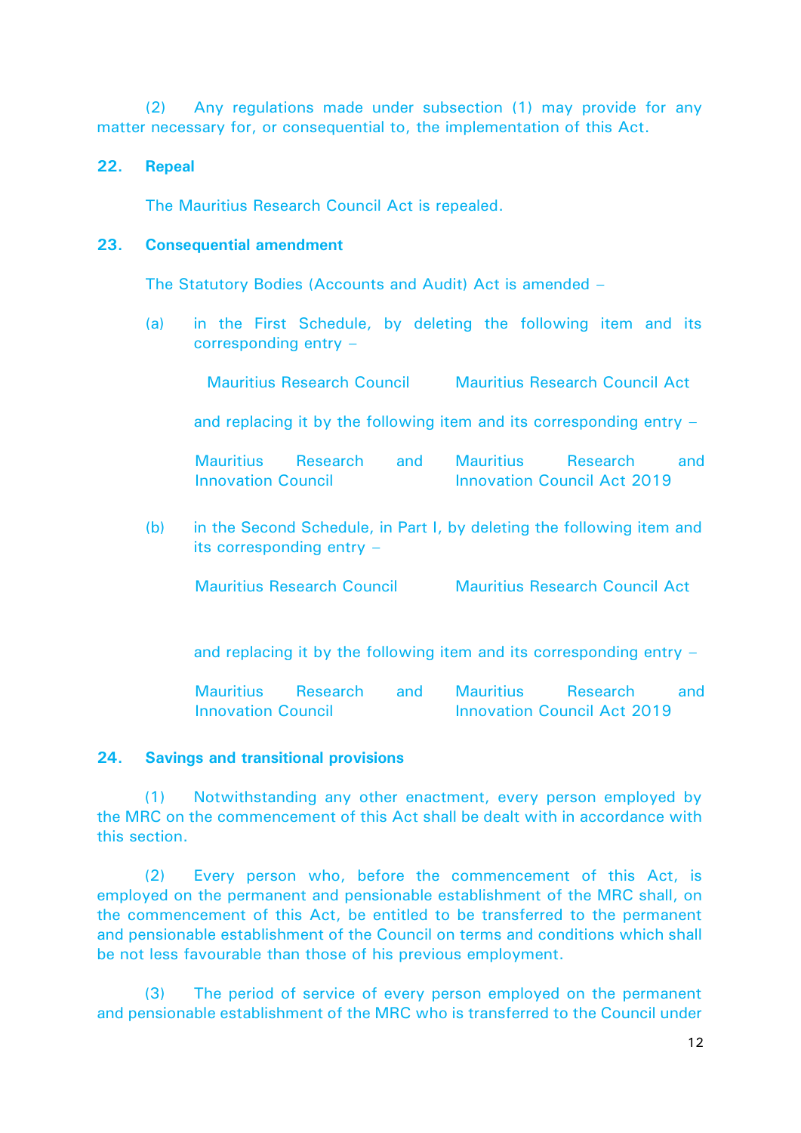(2) Any regulations made under subsection (1) may provide for any matter necessary for, or consequential to, the implementation of this Act.

#### **22. Repeal**

The Mauritius Research Council Act is repealed.

#### **23. Consequential amendment**

The Statutory Bodies (Accounts and Audit) Act is amended –

(a) in the First Schedule, by deleting the following item and its corresponding entry –

Mauritius Research Council Mauritius Research Council Act

and replacing it by the following item and its corresponding entry –

|                           | Mauritius Research and Mauritius |  |                                    | Research | and and |  |
|---------------------------|----------------------------------|--|------------------------------------|----------|---------|--|
| <b>Innovation Council</b> |                                  |  | <b>Innovation Council Act 2019</b> |          |         |  |

(b) in the Second Schedule, in Part I, by deleting the following item and its corresponding entry –

Mauritius Research Council Mauritius Research Council Act

and replacing it by the following item and its corresponding entry –

| Mauritius                 | Research and Mauritius |  |                                    | Research | and |  |
|---------------------------|------------------------|--|------------------------------------|----------|-----|--|
| <b>Innovation Council</b> |                        |  | <b>Innovation Council Act 2019</b> |          |     |  |

## **24. Savings and transitional provisions**

(1) Notwithstanding any other enactment, every person employed by the MRC on the commencement of this Act shall be dealt with in accordance with this section.

(2) Every person who, before the commencement of this Act, is employed on the permanent and pensionable establishment of the MRC shall, on the commencement of this Act, be entitled to be transferred to the permanent and pensionable establishment of the Council on terms and conditions which shall be not less favourable than those of his previous employment.

(3) The period of service of every person employed on the permanent and pensionable establishment of the MRC who is transferred to the Council under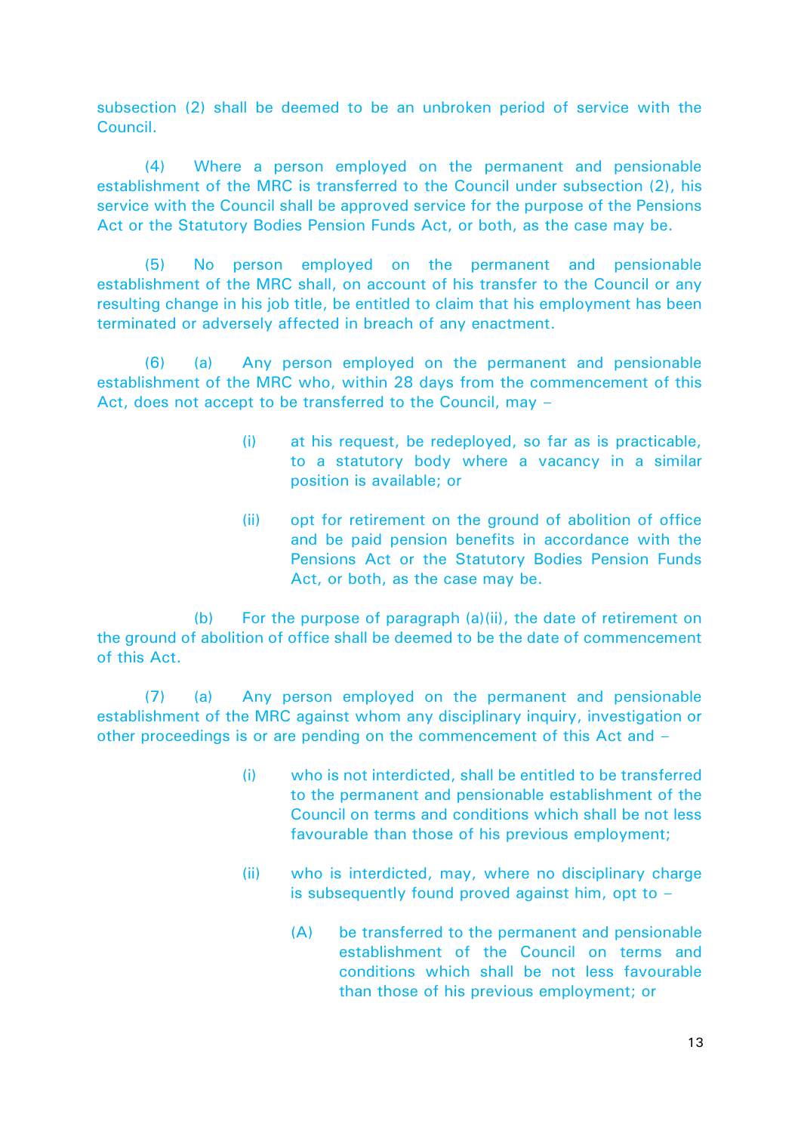subsection (2) shall be deemed to be an unbroken period of service with the Council.

(4) Where a person employed on the permanent and pensionable establishment of the MRC is transferred to the Council under subsection (2), his service with the Council shall be approved service for the purpose of the Pensions Act or the Statutory Bodies Pension Funds Act, or both, as the case may be.

(5) No person employed on the permanent and pensionable establishment of the MRC shall, on account of his transfer to the Council or any resulting change in his job title, be entitled to claim that his employment has been terminated or adversely affected in breach of any enactment.

(6) (a) Any person employed on the permanent and pensionable establishment of the MRC who, within 28 days from the commencement of this Act, does not accept to be transferred to the Council, may –

- (i) at his request, be redeployed, so far as is practicable, to a statutory body where a vacancy in a similar position is available; or
- (ii) opt for retirement on the ground of abolition of office and be paid pension benefits in accordance with the Pensions Act or the Statutory Bodies Pension Funds Act, or both, as the case may be.

(b) For the purpose of paragraph (a)(ii), the date of retirement on the ground of abolition of office shall be deemed to be the date of commencement of this Act.

(7) (a) Any person employed on the permanent and pensionable establishment of the MRC against whom any disciplinary inquiry, investigation or other proceedings is or are pending on the commencement of this Act and –

- (i) who is not interdicted, shall be entitled to be transferred to the permanent and pensionable establishment of the Council on terms and conditions which shall be not less favourable than those of his previous employment;
- (ii) who is interdicted, may, where no disciplinary charge is subsequently found proved against him, opt to  $-$ 
	- (A) be transferred to the permanent and pensionable establishment of the Council on terms and conditions which shall be not less favourable than those of his previous employment; or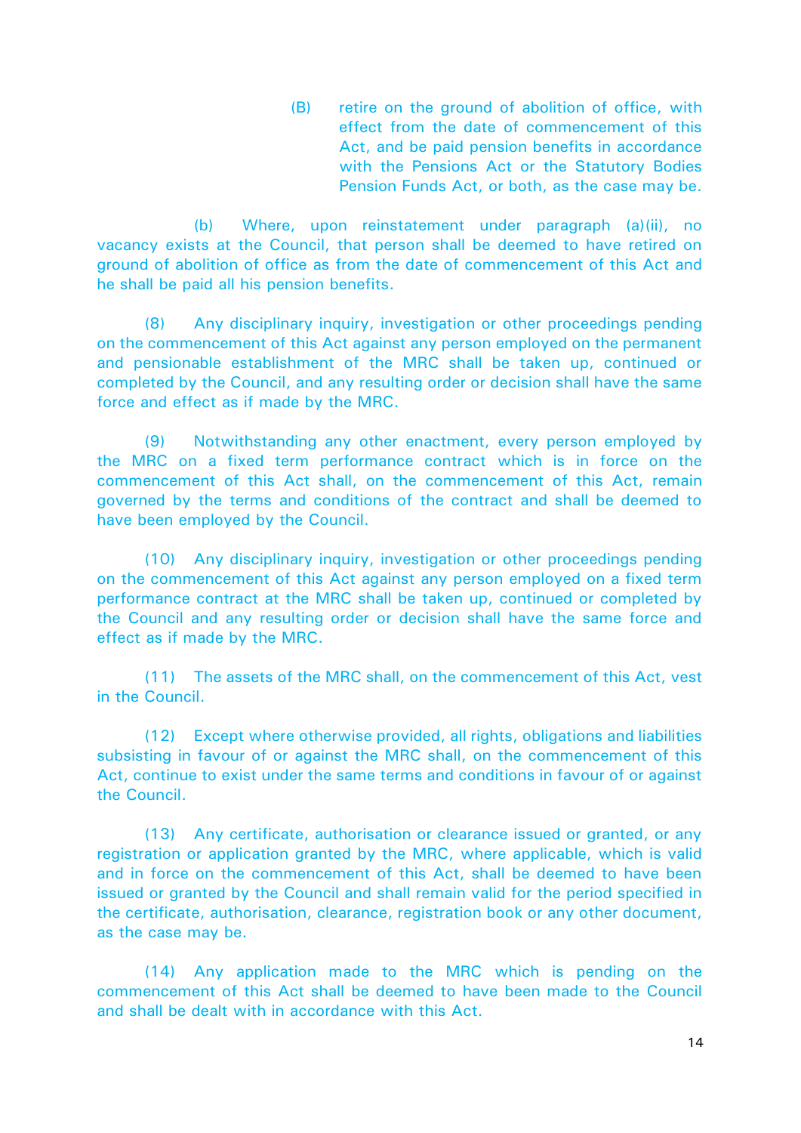(B) retire on the ground of abolition of office, with effect from the date of commencement of this Act, and be paid pension benefits in accordance with the Pensions Act or the Statutory Bodies Pension Funds Act, or both, as the case may be.

(b) Where, upon reinstatement under paragraph (a)(ii), no vacancy exists at the Council, that person shall be deemed to have retired on ground of abolition of office as from the date of commencement of this Act and he shall be paid all his pension benefits.

(8) Any disciplinary inquiry, investigation or other proceedings pending on the commencement of this Act against any person employed on the permanent and pensionable establishment of the MRC shall be taken up, continued or completed by the Council, and any resulting order or decision shall have the same force and effect as if made by the MRC.

(9) Notwithstanding any other enactment, every person employed by the MRC on a fixed term performance contract which is in force on the commencement of this Act shall, on the commencement of this Act, remain governed by the terms and conditions of the contract and shall be deemed to have been employed by the Council.

(10) Any disciplinary inquiry, investigation or other proceedings pending on the commencement of this Act against any person employed on a fixed term performance contract at the MRC shall be taken up, continued or completed by the Council and any resulting order or decision shall have the same force and effect as if made by the MRC.

(11) The assets of the MRC shall, on the commencement of this Act, vest in the Council.

(12) Except where otherwise provided, all rights, obligations and liabilities subsisting in favour of or against the MRC shall, on the commencement of this Act, continue to exist under the same terms and conditions in favour of or against the Council.

(13) Any certificate, authorisation or clearance issued or granted, or any registration or application granted by the MRC, where applicable, which is valid and in force on the commencement of this Act, shall be deemed to have been issued or granted by the Council and shall remain valid for the period specified in the certificate, authorisation, clearance, registration book or any other document, as the case may be.

(14) Any application made to the MRC which is pending on the commencement of this Act shall be deemed to have been made to the Council and shall be dealt with in accordance with this Act.